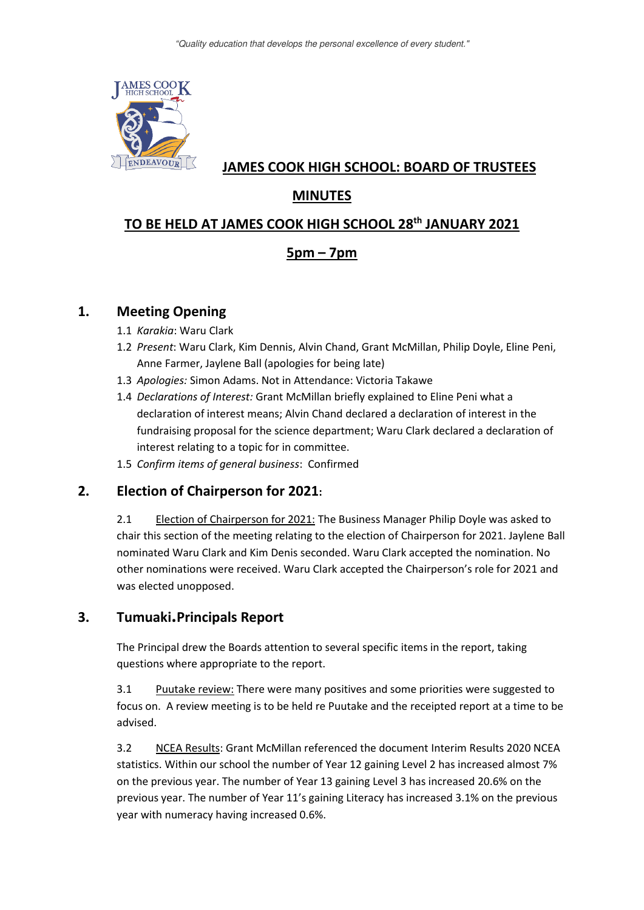

## **JAMES COOK HIGH SCHOOL: BOARD OF TRUSTEES**

# **MINUTES**

## **TO BE HELD AT JAMES COOK HIGH SCHOOL 28th JANUARY 2021**

# **5pm – 7pm**

## **1. Meeting Opening**

- 1.1 *Karakia*: Waru Clark
- 1.2 *Present*: Waru Clark, Kim Dennis, Alvin Chand, Grant McMillan, Philip Doyle, Eline Peni, Anne Farmer, Jaylene Ball (apologies for being late)
- 1.3 *Apologies:* Simon Adams. Not in Attendance: Victoria Takawe
- 1.4 *Declarations of Interest:* Grant McMillan briefly explained to Eline Peni what a declaration of interest means; Alvin Chand declared a declaration of interest in the fundraising proposal for the science department; Waru Clark declared a declaration of interest relating to a topic for in committee.
- 1.5 *Confirm items of general business*: Confirmed

## **2. Election of Chairperson for 2021:**

2.1 Election of Chairperson for 2021: The Business Manager Philip Doyle was asked to chair this section of the meeting relating to the election of Chairperson for 2021. Jaylene Ball nominated Waru Clark and Kim Denis seconded. Waru Clark accepted the nomination. No other nominations were received. Waru Clark accepted the Chairperson's role for 2021 and was elected unopposed.

## **3. Tumuaki.Principals Report**

The Principal drew the Boards attention to several specific items in the report, taking questions where appropriate to the report.

3.1 Puutake review: There were many positives and some priorities were suggested to focus on. A review meeting is to be held re Puutake and the receipted report at a time to be advised.

3.2 NCEA Results: Grant McMillan referenced the document Interim Results 2020 NCEA statistics. Within our school the number of Year 12 gaining Level 2 has increased almost 7% on the previous year. The number of Year 13 gaining Level 3 has increased 20.6% on the previous year. The number of Year 11's gaining Literacy has increased 3.1% on the previous year with numeracy having increased 0.6%.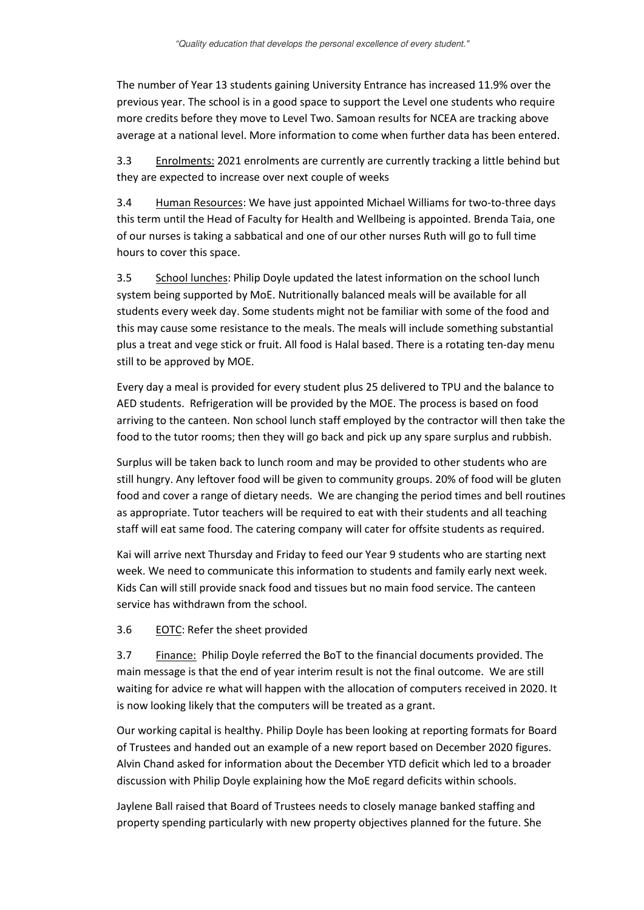The number of Year 13 students gaining University Entrance has increased 11.9% over the previous year. The school is in a good space to support the Level one students who require more credits before they move to Level Two. Samoan results for NCEA are tracking above average at a national level. More information to come when further data has been entered.

3.3 Enrolments: 2021 enrolments are currently are currently tracking a little behind but they are expected to increase over next couple of weeks

3.4 Human Resources: We have just appointed Michael Williams for two-to-three days this term until the Head of Faculty for Health and Wellbeing is appointed. Brenda Taia, one of our nurses is taking a sabbatical and one of our other nurses Ruth will go to full time hours to cover this space.

3.5 School lunches: Philip Doyle updated the latest information on the school lunch system being supported by MoE. Nutritionally balanced meals will be available for all students every week day. Some students might not be familiar with some of the food and this may cause some resistance to the meals. The meals will include something substantial plus a treat and vege stick or fruit. All food is Halal based. There is a rotating ten-day menu still to be approved by MOE.

Every day a meal is provided for every student plus 25 delivered to TPU and the balance to AED students. Refrigeration will be provided by the MOE. The process is based on food arriving to the canteen. Non school lunch staff employed by the contractor will then take the food to the tutor rooms; then they will go back and pick up any spare surplus and rubbish.

Surplus will be taken back to lunch room and may be provided to other students who are still hungry. Any leftover food will be given to community groups. 20% of food will be gluten food and cover a range of dietary needs. We are changing the period times and bell routines as appropriate. Tutor teachers will be required to eat with their students and all teaching staff will eat same food. The catering company will cater for offsite students as required.

Kai will arrive next Thursday and Friday to feed our Year 9 students who are starting next week. We need to communicate this information to students and family early next week. Kids Can will still provide snack food and tissues but no main food service. The canteen service has withdrawn from the school.

#### 3.6 EOTC: Refer the sheet provided

3.7 Finance: Philip Doyle referred the BoT to the financial documents provided. The main message is that the end of year interim result is not the final outcome. We are still waiting for advice re what will happen with the allocation of computers received in 2020. It is now looking likely that the computers will be treated as a grant.

Our working capital is healthy. Philip Doyle has been looking at reporting formats for Board of Trustees and handed out an example of a new report based on December 2020 figures. Alvin Chand asked for information about the December YTD deficit which led to a broader discussion with Philip Doyle explaining how the MoE regard deficits within schools.

Jaylene Ball raised that Board of Trustees needs to closely manage banked staffing and property spending particularly with new property objectives planned for the future. She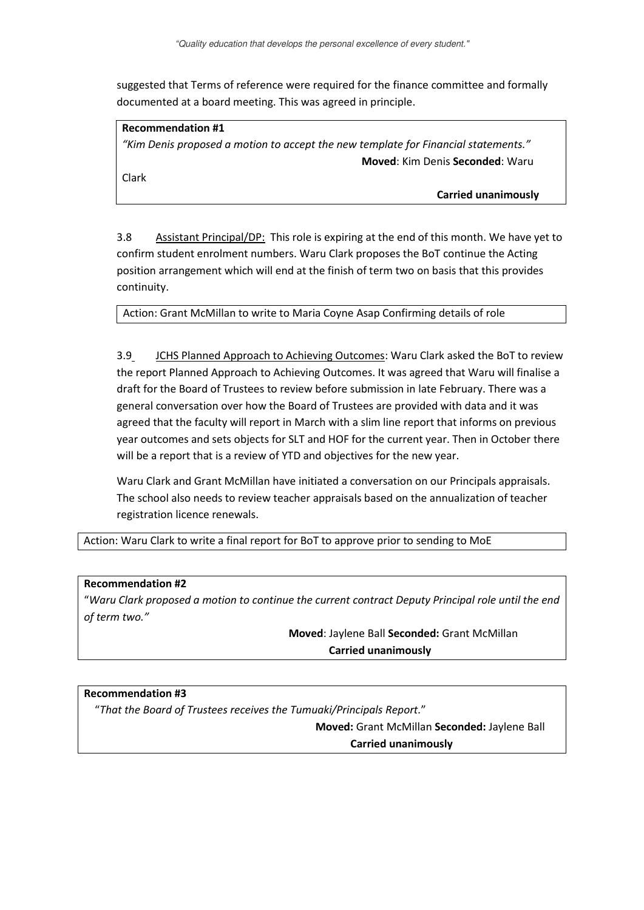suggested that Terms of reference were required for the finance committee and formally documented at a board meeting. This was agreed in principle.

#### **Recommendation #1**

*"Kim Denis proposed a motion to accept the new template for Financial statements."* **Moved**: Kim Denis **Seconded**: Waru

Clark

 **Carried unanimously** 

3.8 Assistant Principal/DP: This role is expiring at the end of this month. We have yet to confirm student enrolment numbers. Waru Clark proposes the BoT continue the Acting position arrangement which will end at the finish of term two on basis that this provides continuity.

Action: Grant McMillan to write to Maria Coyne Asap Confirming details of role

3.9 JCHS Planned Approach to Achieving Outcomes: Waru Clark asked the BoT to review the report Planned Approach to Achieving Outcomes. It was agreed that Waru will finalise a draft for the Board of Trustees to review before submission in late February. There was a general conversation over how the Board of Trustees are provided with data and it was agreed that the faculty will report in March with a slim line report that informs on previous year outcomes and sets objects for SLT and HOF for the current year. Then in October there will be a report that is a review of YTD and objectives for the new year.

Waru Clark and Grant McMillan have initiated a conversation on our Principals appraisals. The school also needs to review teacher appraisals based on the annualization of teacher registration licence renewals.

Action: Waru Clark to write a final report for BoT to approve prior to sending to MoE

#### **Recommendation #2**

"*Waru Clark proposed a motion to continue the current contract Deputy Principal role until the end of term two."*

> **Moved**: Jaylene Ball **Seconded:** Grant McMillan  **Carried unanimously**

#### **Recommendation #3**

"*That the Board of Trustees receives the Tumuaki/Principals Report.*"

 **Moved:** Grant McMillan **Seconded:** Jaylene Ball  **Carried unanimously**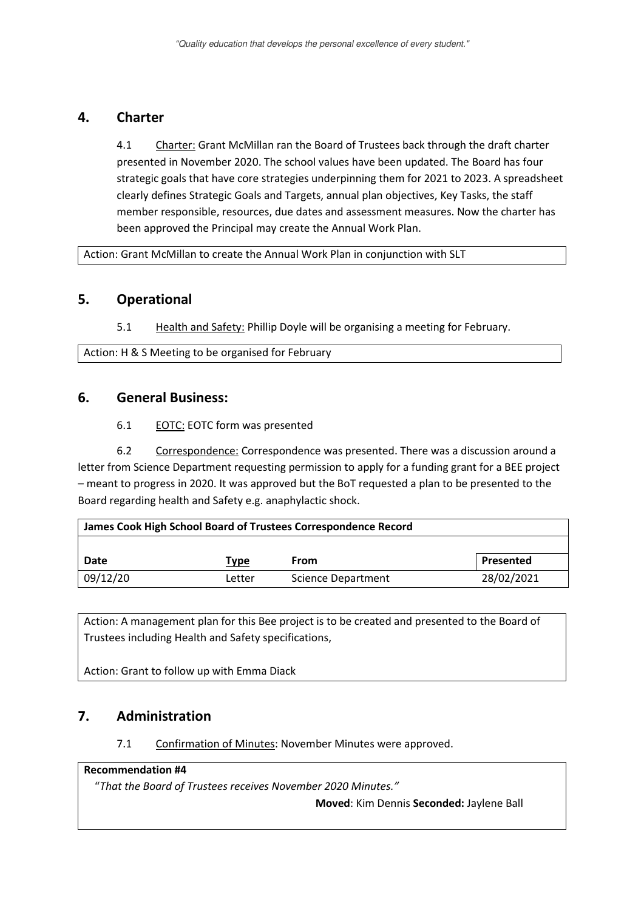### **4. Charter**

4.1 Charter: Grant McMillan ran the Board of Trustees back through the draft charter presented in November 2020. The school values have been updated. The Board has four strategic goals that have core strategies underpinning them for 2021 to 2023. A spreadsheet clearly defines Strategic Goals and Targets, annual plan objectives, Key Tasks, the staff member responsible, resources, due dates and assessment measures. Now the charter has been approved the Principal may create the Annual Work Plan.

Action: Grant McMillan to create the Annual Work Plan in conjunction with SLT

### **5. Operational**

5.1 Health and Safety: Phillip Doyle will be organising a meeting for February.

Action: H & S Meeting to be organised for February

### **6. General Business:**

6.1 EOTC: EOTC form was presented

6.2 Correspondence: Correspondence was presented. There was a discussion around a letter from Science Department requesting permission to apply for a funding grant for a BEE project – meant to progress in 2020. It was approved but the BoT requested a plan to be presented to the Board regarding health and Safety e.g. anaphylactic shock.

| James Cook High School Board of Trustees Correspondence Record |        |                           |            |
|----------------------------------------------------------------|--------|---------------------------|------------|
|                                                                |        |                           |            |
| Date                                                           | Type   | From                      | Presented  |
| 09/12/20                                                       | Letter | <b>Science Department</b> | 28/02/2021 |

Action: A management plan for this Bee project is to be created and presented to the Board of Trustees including Health and Safety specifications,

Action: Grant to follow up with Emma Diack

## **7. Administration**

7.1 Confirmation of Minutes: November Minutes were approved.

#### **Recommendation #4**

"*That the Board of Trustees receives November 2020 Minutes."* 

 **Moved**: Kim Dennis **Seconded:** Jaylene Ball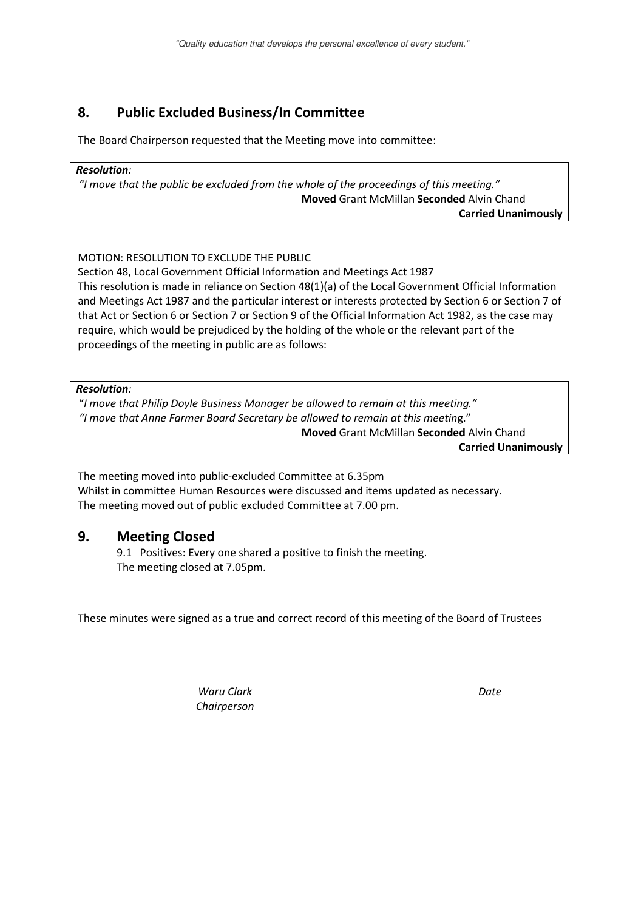# **8. Public Excluded Business/In Committee**

The Board Chairperson requested that the Meeting move into committee:

#### *Resolution:*

*"I move that the public be excluded from the whole of the proceedings of this meeting."* **Moved** Grant McMillan **Seconded** Alvin Chand **Carried Unanimously** 

### MOTION: RESOLUTION TO EXCLUDE THE PUBLIC

Section 48, Local Government Official Information and Meetings Act 1987 This resolution is made in reliance on Section 48(1)(a) of the Local Government Official Information and Meetings Act 1987 and the particular interest or interests protected by Section 6 or Section 7 of that Act or Section 6 or Section 7 or Section 9 of the Official Information Act 1982, as the case may require, which would be prejudiced by the holding of the whole or the relevant part of the proceedings of the meeting in public are as follows:

*Resolution:* 

"*I move that Philip Doyle Business Manager be allowed to remain at this meeting." "I move that Anne Farmer Board Secretary be allowed to remain at this meetin*g." **Moved** Grant McMillan **Seconded** Alvin Chand

**Carried Unanimously** 

The meeting moved into public-excluded Committee at 6.35pm Whilst in committee Human Resources were discussed and items updated as necessary. The meeting moved out of public excluded Committee at 7.00 pm.

## **9. Meeting Closed**

 9.1 Positives: Every one shared a positive to finish the meeting. The meeting closed at 7.05pm.

These minutes were signed as a true and correct record of this meeting of the Board of Trustees

*Waru Clark Chairperson*  *Date*